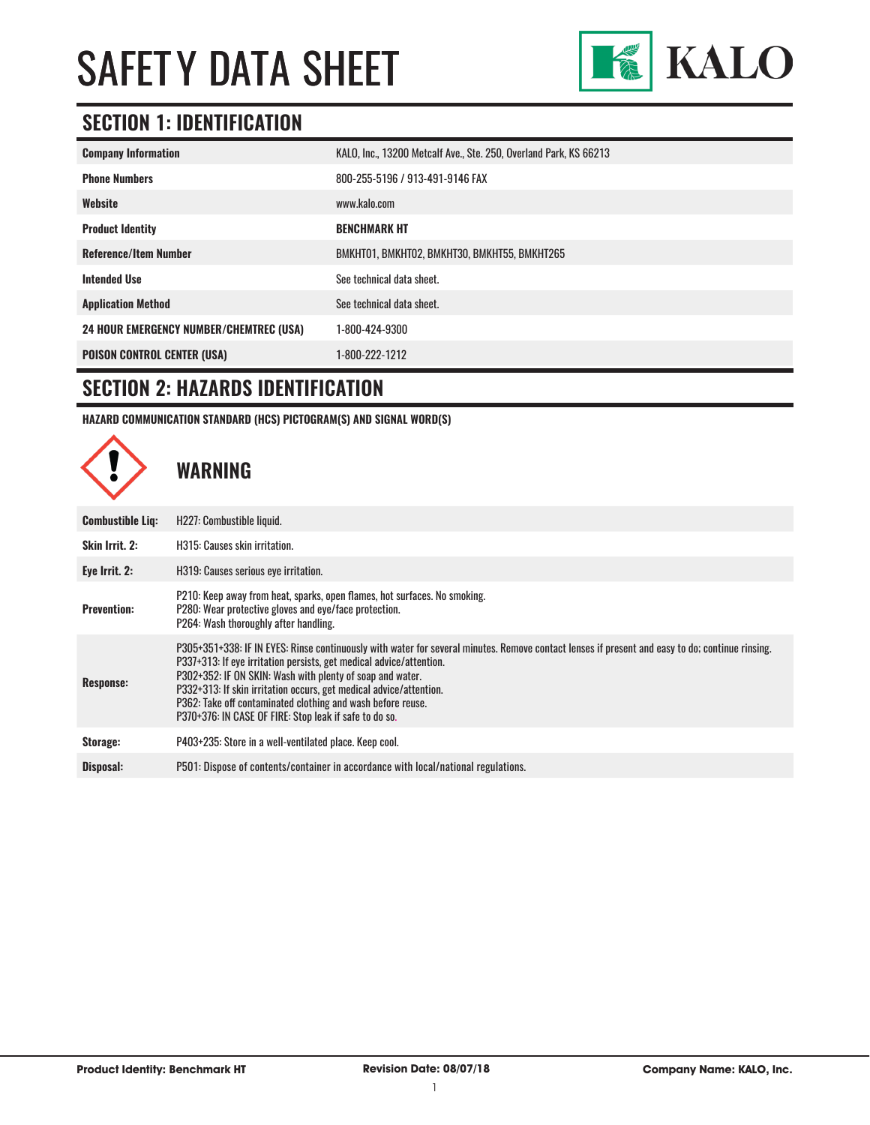

#### **SECTION 1: IDENTIFICATION**

| <b>Company Information</b>                     | KALO, Inc., 13200 Metcalf Ave., Ste. 250, Overland Park, KS 66213 |
|------------------------------------------------|-------------------------------------------------------------------|
| <b>Phone Numbers</b>                           | 800-255-5196 / 913-491-9146 FAX                                   |
| Website                                        | www.kalo.com                                                      |
| <b>Product Identity</b>                        | <b>BENCHMARK HT</b>                                               |
| <b>Reference/Item Number</b>                   | BMKHT01, BMKHT02, BMKHT30, BMKHT55, BMKHT265                      |
| <b>Intended Use</b>                            | See technical data sheet.                                         |
| <b>Application Method</b>                      | See technical data sheet.                                         |
| <b>24 HOUR EMERGENCY NUMBER/CHEMTREC (USA)</b> | 1-800-424-9300                                                    |
| <b>POISON CONTROL CENTER (USA)</b>             | 1-800-222-1212                                                    |

#### **SECTION 2: HAZARDS IDENTIFICATION**

**HAZARD COMMUNICATION STANDARD (HCS) PICTOGRAM(S) AND SIGNAL WORD(S)**

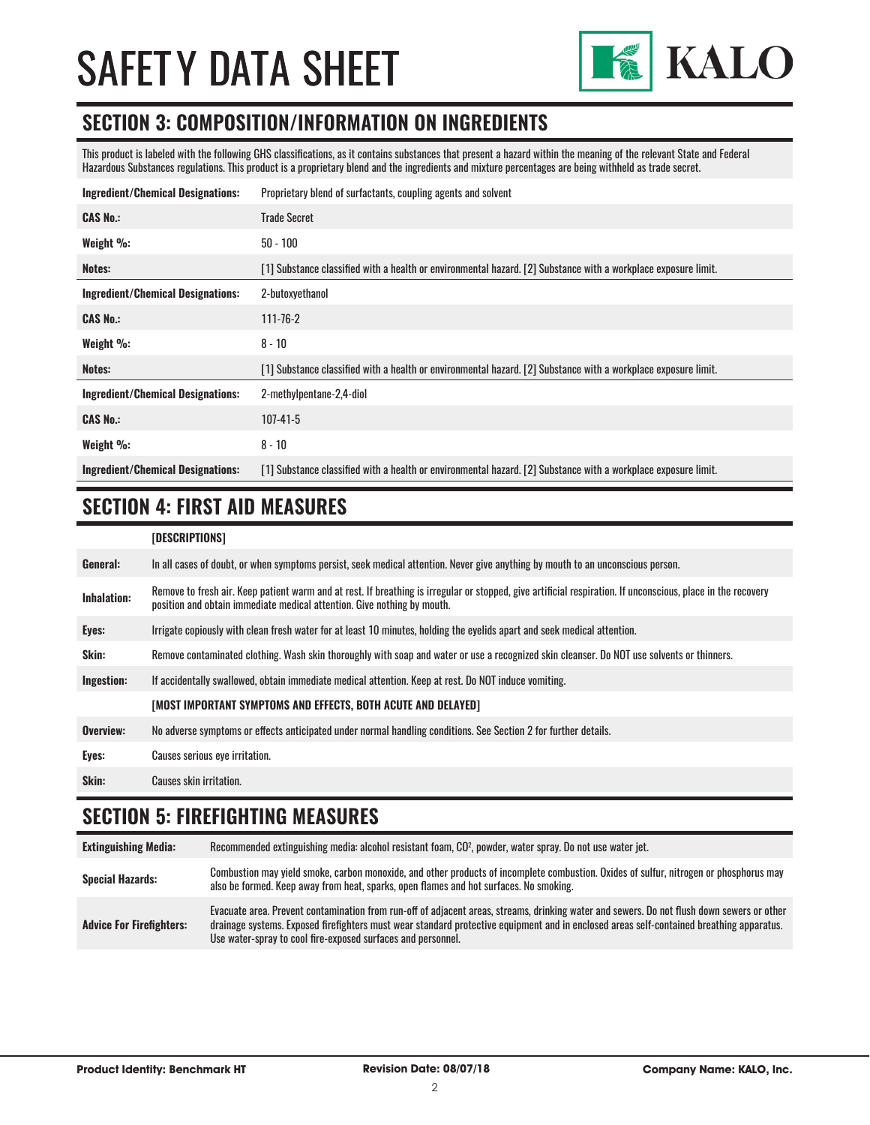

#### **SECTION 3: COMPOSITION/INFORMATION ON INGREDIENTS**

This product is labeled with the following GHS classifications, as it contains substances that present a hazard within the meaning of the relevant State and Federal Hazardous Substances regulations. This product is a proprietary blend and the ingredients and mixture percentages are being withheld as trade secret.

| <b>Ingredient/Chemical Designations:</b> | Proprietary blend of surfactants, coupling agents and solvent                                                  |
|------------------------------------------|----------------------------------------------------------------------------------------------------------------|
| <b>CAS No.:</b>                          | <b>Trade Secret</b>                                                                                            |
| Weight $\%$ :                            | $50 - 100$                                                                                                     |
| Notes:                                   | [1] Substance classified with a health or environmental hazard. [2] Substance with a workplace exposure limit. |
| <b>Ingredient/Chemical Designations:</b> | 2-butoxyethanol                                                                                                |
| <b>CAS No.:</b>                          | $111 - 76 - 2$                                                                                                 |
| Weight $\%$ :                            | $8 - 10$                                                                                                       |
| Notes:                                   | [1] Substance classified with a health or environmental hazard. [2] Substance with a workplace exposure limit. |
| <b>Ingredient/Chemical Designations:</b> | 2-methylpentane-2,4-diol                                                                                       |
| <b>CAS No.:</b>                          | $107 - 41 - 5$                                                                                                 |
| Weight %:                                | $8 - 10$                                                                                                       |
| <b>Ingredient/Chemical Designations:</b> | [1] Substance classified with a health or environmental hazard. [2] Substance with a workplace exposure limit. |

#### **SECTION 4: FIRST AID MEASURES**

| [DESCRIPTIONS] |  |
|----------------|--|
|----------------|--|

| General:           | In all cases of doubt, or when symptoms persist, seek medical attention. Never give anything by mouth to an unconscious person.                                                                                                         |
|--------------------|-----------------------------------------------------------------------------------------------------------------------------------------------------------------------------------------------------------------------------------------|
| <b>Inhalation:</b> | Remove to fresh air. Keep patient warm and at rest. If breathing is irregular or stopped, give artificial respiration. If unconscious, place in the recovery<br>position and obtain immediate medical attention. Give nothing by mouth. |
| Eyes:              | Irrigate copiously with clean fresh water for at least 10 minutes, holding the eyelids apart and seek medical attention.                                                                                                                |
| Skin:              | Remove contaminated clothing. Wash skin thoroughly with soap and water or use a recognized skin cleanser. Do NOT use solvents or thinners.                                                                                              |
| Ingestion:         | If accidentally swallowed, obtain immediate medical attention. Keep at rest. Do NOT induce vomiting.                                                                                                                                    |
|                    | [MOST IMPORTANT SYMPTOMS AND EFFECTS, BOTH ACUTE AND DELAYED]                                                                                                                                                                           |
| Overview:          | No adverse symptoms or effects anticipated under normal handling conditions. See Section 2 for further details.                                                                                                                         |
| Eyes:              | Causes serious eye irritation.                                                                                                                                                                                                          |
| Skin:              | Causes skin irritation.                                                                                                                                                                                                                 |

#### **SECTION 5: FIREFIGHTING MEASURES**

| <b>Extinguishing Media:</b>     | Recommended extinguishing media: alcohol resistant foam, CO <sup>2</sup> , powder, water spray. Do not use water jet.                                                                                                                                                                                                                                  |
|---------------------------------|--------------------------------------------------------------------------------------------------------------------------------------------------------------------------------------------------------------------------------------------------------------------------------------------------------------------------------------------------------|
| <b>Special Hazards:</b>         | Combustion may yield smoke, carbon monoxide, and other products of incomplete combustion. Oxides of sulfur, nitrogen or phosphorus may<br>also be formed. Keep away from heat, sparks, open flames and hot surfaces. No smoking.                                                                                                                       |
| <b>Advice For Firefighters:</b> | Evacuate area. Prevent contamination from run-off of adjacent areas, streams, drinking water and sewers. Do not flush down sewers or other<br>drainage systems. Exposed firefighters must wear standard protective equipment and in enclosed areas self-contained breathing apparatus.<br>Use water-spray to cool fire-exposed surfaces and personnel. |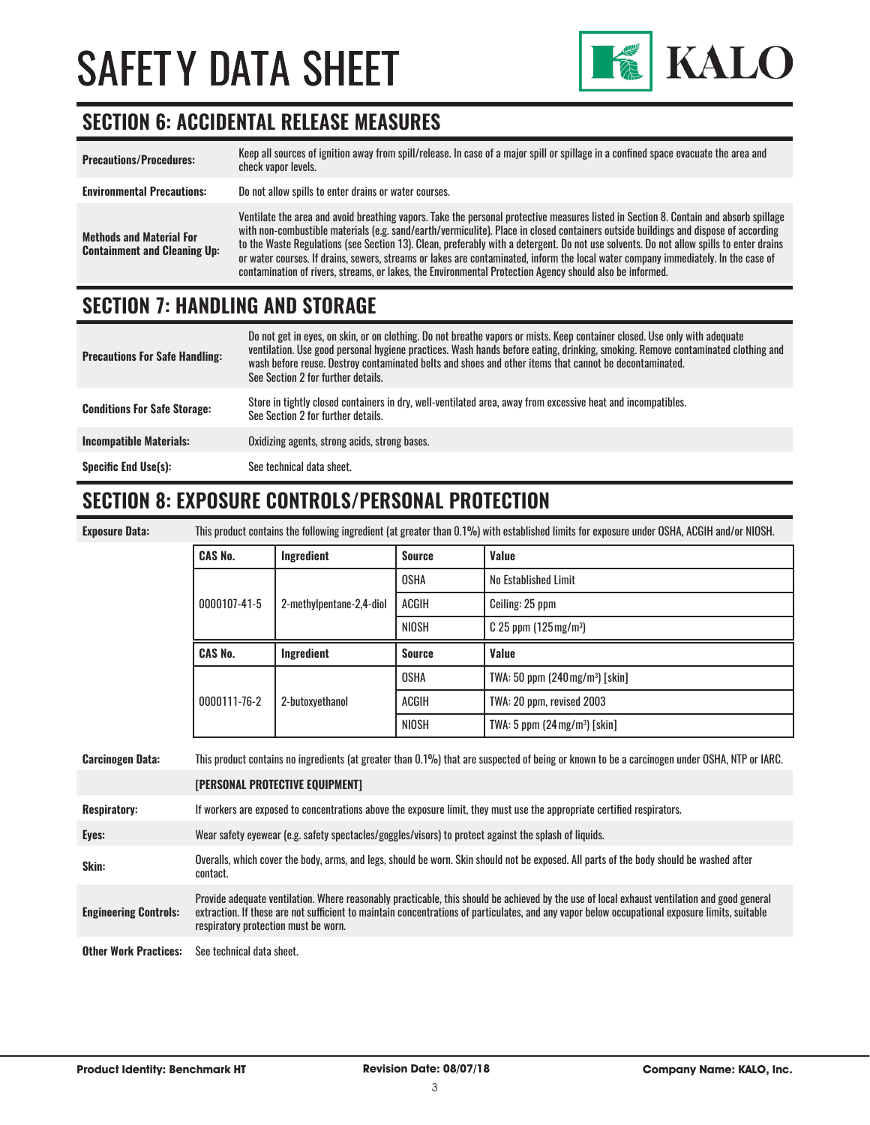

#### **SECTION 6: ACCIDENTAL RELEASE MEASURES**

| <b>Precautions/Procedures:</b>                                         | Keep all sources of ignition away from spill/release. In case of a major spill or spillage in a confined space evacuate the area and<br>check vapor levels.                                                                                                                                                                                                                                                                                                                                                                                                                                                                                                               |
|------------------------------------------------------------------------|---------------------------------------------------------------------------------------------------------------------------------------------------------------------------------------------------------------------------------------------------------------------------------------------------------------------------------------------------------------------------------------------------------------------------------------------------------------------------------------------------------------------------------------------------------------------------------------------------------------------------------------------------------------------------|
| <b>Environmental Precautions:</b>                                      | Do not allow spills to enter drains or water courses.                                                                                                                                                                                                                                                                                                                                                                                                                                                                                                                                                                                                                     |
| <b>Methods and Material For</b><br><b>Containment and Cleaning Up:</b> | Ventilate the area and avoid breathing vapors. Take the personal protective measures listed in Section 8. Contain and absorb spillage<br>with non-combustible materials (e.g. sand/earth/vermiculite). Place in closed containers outside buildings and dispose of according<br>to the Waste Regulations (see Section 13). Clean, preferably with a detergent. Do not use solvents. Do not allow spills to enter drains<br>or water courses. If drains, sewers, streams or lakes are contaminated, inform the local water company immediately. In the case of<br>contamination of rivers, streams, or lakes, the Environmental Protection Agency should also be informed. |

#### **SECTION 7: HANDLING AND STORAGE**

| <b>Precautions For Safe Handling:</b> | Do not get in eyes, on skin, or on clothing. Do not breathe vapors or mists. Keep container closed. Use only with adequate<br>ventilation. Use good personal hygiene practices. Wash hands before eating, drinking, smoking. Remove contaminated clothing and<br>wash before reuse. Destroy contaminated belts and shoes and other items that cannot be decontaminated.<br>See Section 2 for further details. |
|---------------------------------------|---------------------------------------------------------------------------------------------------------------------------------------------------------------------------------------------------------------------------------------------------------------------------------------------------------------------------------------------------------------------------------------------------------------|
| <b>Conditions For Safe Storage:</b>   | Store in tightly closed containers in dry, well-ventilated area, away from excessive heat and incompatibles.<br>See Section 2 for further details.                                                                                                                                                                                                                                                            |
| <b>Incompatible Materials:</b>        | Oxidizing agents, strong acids, strong bases.                                                                                                                                                                                                                                                                                                                                                                 |
| <b>Specific End Use(s):</b>           | See technical data sheet.                                                                                                                                                                                                                                                                                                                                                                                     |

#### **SECTION 8: EXPOSURE CONTROLS/PERSONAL PROTECTION**

| <b>Exposure Data</b> |  |
|----------------------|--|
|                      |  |

**Exposure Data:** This product contains the following ingredient (at greater than 0.1%) with established limits for exposure under OSHA, ACGIH and/or NIOSH.

| <b>CAS No.</b>                 | Ingredient               | <b>Source</b> | <b>Value</b>                                 |
|--------------------------------|--------------------------|---------------|----------------------------------------------|
| 0000107-41-5                   | 2-methylpentane-2,4-diol | <b>OSHA</b>   | No Established Limit                         |
|                                |                          | ACGIH         | Ceiling: 25 ppm                              |
|                                |                          | <b>NIOSH</b>  | $C$ 25 ppm (125 mg/m <sup>3</sup> )          |
|                                |                          |               |                                              |
|                                | Ingredient               | <b>Source</b> | <b>Value</b>                                 |
|                                |                          | <b>OSHA</b>   | TWA: 50 ppm $(240 \,\mathrm{mg/m^3})$ [skin] |
| <b>CAS No.</b><br>0000111-76-2 | 2-butoxyethanol          | <b>ACGIH</b>  | TWA: 20 ppm, revised 2003                    |

| <b>Carcinogen Data:</b>      | This product contains no ingredients (at greater than 0.1%) that are suspected of being or known to be a carcinogen under OSHA, NTP or IARC.                                                                                                                                                                                           |  |
|------------------------------|----------------------------------------------------------------------------------------------------------------------------------------------------------------------------------------------------------------------------------------------------------------------------------------------------------------------------------------|--|
|                              | <b>[PERSONAL PROTECTIVE EQUIPMENT]</b>                                                                                                                                                                                                                                                                                                 |  |
| <b>Respiratory:</b>          | If workers are exposed to concentrations above the exposure limit, they must use the appropriate certified respirators.                                                                                                                                                                                                                |  |
| Eyes:                        | Wear safety eyewear (e.g. safety spectacles/goggles/visors) to protect against the splash of liquids.                                                                                                                                                                                                                                  |  |
| Skin:                        | Overalls, which cover the body, arms, and legs, should be worn. Skin should not be exposed. All parts of the body should be washed after<br>contact.                                                                                                                                                                                   |  |
| <b>Engineering Controls:</b> | Provide adequate ventilation. Where reasonably practicable, this should be achieved by the use of local exhaust ventilation and good general<br>extraction. If these are not sufficient to maintain concentrations of particulates, and any vapor below occupational exposure limits, suitable<br>respiratory protection must be worn. |  |
| <b>Other Work Practices:</b> | See technical data sheet.                                                                                                                                                                                                                                                                                                              |  |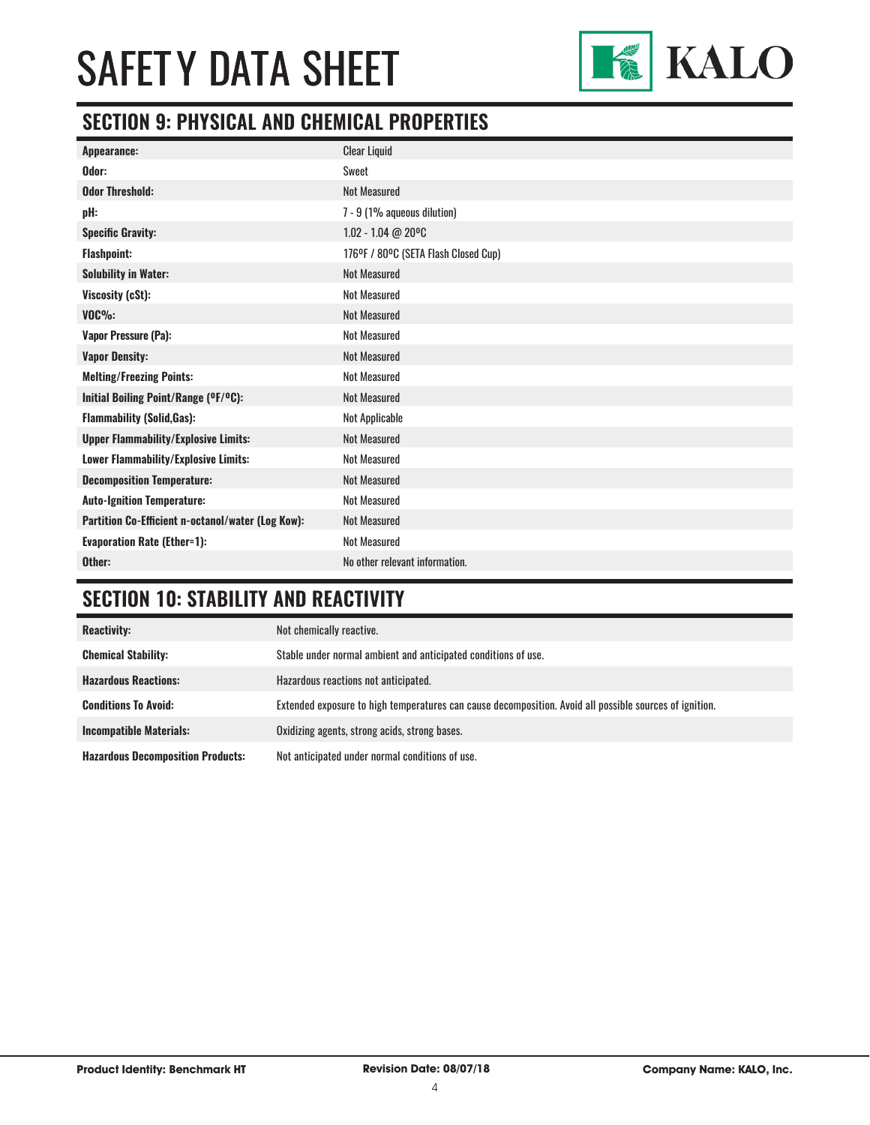

#### **SECTION 9: PHYSICAL AND CHEMICAL PROPERTIES**

| Odor:<br>Sweet                                                           |  |
|--------------------------------------------------------------------------|--|
|                                                                          |  |
| Not Measured<br><b>Odor Threshold:</b>                                   |  |
| 7 - 9 (1% aqueous dilution)<br>pH:                                       |  |
| 1.02 - 1.04 @ 20°C<br><b>Specific Gravity:</b>                           |  |
| 176°F / 80°C (SETA Flash Closed Cup)<br><b>Flashpoint:</b>               |  |
| <b>Not Measured</b><br><b>Solubility in Water:</b>                       |  |
| <b>Not Measured</b><br>Viscosity (cSt):                                  |  |
| $VOC\%$ :<br><b>Not Measured</b>                                         |  |
| <b>Not Measured</b><br>Vapor Pressure (Pa):                              |  |
| <b>Not Measured</b><br><b>Vapor Density:</b>                             |  |
| <b>Not Measured</b><br><b>Melting/Freezing Points:</b>                   |  |
| Not Measured<br>Initial Boiling Point/Range (°F/°C):                     |  |
| <b>Flammability (Solid, Gas):</b><br>Not Applicable                      |  |
| <b>Not Measured</b><br><b>Upper Flammability/Explosive Limits:</b>       |  |
| <b>Not Measured</b><br><b>Lower Flammability/Explosive Limits:</b>       |  |
| <b>Not Measured</b><br><b>Decomposition Temperature:</b>                 |  |
| <b>Not Measured</b><br><b>Auto-Ignition Temperature:</b>                 |  |
| <b>Not Measured</b><br>Partition Co-Efficient n-octanol/water (Log Kow): |  |
| <b>Not Measured</b><br><b>Evaporation Rate (Ether=1):</b>                |  |
| No other relevant information.<br>Other:                                 |  |

### **SECTION 10: STABILITY AND REACTIVITY**

| <b>Reactivity:</b>                       | Not chemically reactive.                                                                                |
|------------------------------------------|---------------------------------------------------------------------------------------------------------|
| <b>Chemical Stability:</b>               | Stable under normal ambient and anticipated conditions of use.                                          |
| <b>Hazardous Reactions:</b>              | Hazardous reactions not anticipated.                                                                    |
| <b>Conditions To Avoid:</b>              | Extended exposure to high temperatures can cause decomposition. Avoid all possible sources of ignition. |
| <b>Incompatible Materials:</b>           | Oxidizing agents, strong acids, strong bases.                                                           |
| <b>Hazardous Decomposition Products:</b> | Not anticipated under normal conditions of use.                                                         |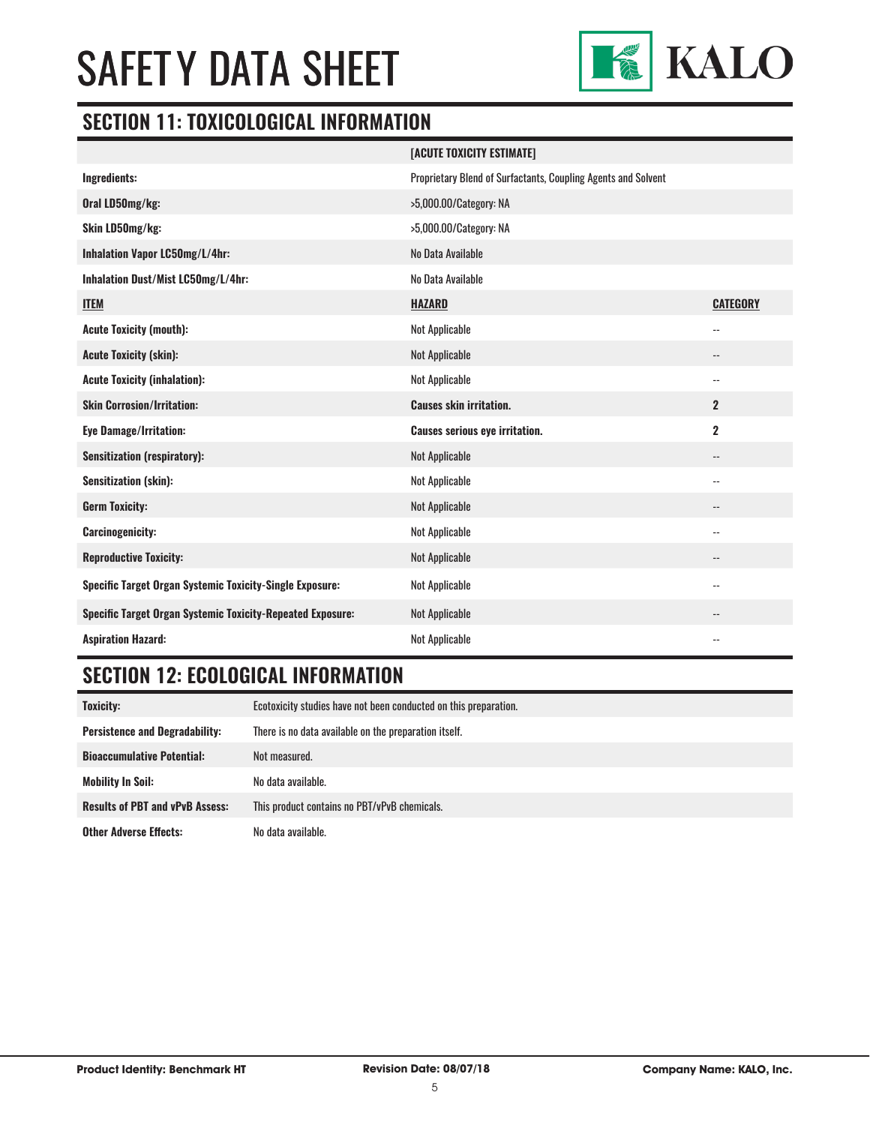

#### **SECTION 11: TOXICOLOGICAL INFORMATION**

|                                                                   | [ACUTE TOXICITY ESTIMATE]                                     |                 |
|-------------------------------------------------------------------|---------------------------------------------------------------|-----------------|
| Ingredients:                                                      | Proprietary Blend of Surfactants, Coupling Agents and Solvent |                 |
| Oral LD50mg/kg:                                                   | >5,000.00/Category: NA                                        |                 |
| Skin LD50mg/kg:                                                   | >5,000.00/Category: NA                                        |                 |
| Inhalation Vapor LC50mg/L/4hr:                                    | No Data Available                                             |                 |
| Inhalation Dust/Mist LC50mg/L/4hr:                                | No Data Available                                             |                 |
| <b>ITEM</b>                                                       | <b>HAZARD</b>                                                 | <b>CATEGORY</b> |
| <b>Acute Toxicity (mouth):</b>                                    | <b>Not Applicable</b>                                         | --              |
| <b>Acute Toxicity (skin):</b>                                     | <b>Not Applicable</b>                                         | --              |
| <b>Acute Toxicity (inhalation):</b>                               | <b>Not Applicable</b>                                         | --              |
| <b>Skin Corrosion/Irritation:</b>                                 | <b>Causes skin irritation.</b>                                | $\mathbf{2}$    |
| <b>Eye Damage/Irritation:</b>                                     | <b>Causes serious eye irritation.</b>                         | $\mathbf 2$     |
| <b>Sensitization (respiratory):</b>                               | <b>Not Applicable</b>                                         | --              |
| <b>Sensitization (skin):</b>                                      | <b>Not Applicable</b>                                         | --              |
| <b>Germ Toxicity:</b>                                             | <b>Not Applicable</b>                                         | --              |
| <b>Carcinogenicity:</b>                                           | <b>Not Applicable</b>                                         | --              |
| <b>Reproductive Toxicity:</b>                                     | <b>Not Applicable</b>                                         | --              |
| Specific Target Organ Systemic Toxicity-Single Exposure:          | <b>Not Applicable</b>                                         | --              |
| <b>Specific Target Organ Systemic Toxicity-Repeated Exposure:</b> | <b>Not Applicable</b>                                         | --              |
| <b>Aspiration Hazard:</b>                                         | <b>Not Applicable</b>                                         | --              |

### **SECTION 12: ECOLOGICAL INFORMATION**

| <b>Toxicity:</b>                       | Ecotoxicity studies have not been conducted on this preparation. |
|----------------------------------------|------------------------------------------------------------------|
| <b>Persistence and Degradability:</b>  | There is no data available on the preparation itself.            |
| <b>Bioaccumulative Potential:</b>      | Not measured.                                                    |
| <b>Mobility In Soil:</b>               | No data available.                                               |
| <b>Results of PBT and vPvB Assess:</b> | This product contains no PBT/vPvB chemicals.                     |
| <b>Other Adverse Effects:</b>          | No data available.                                               |